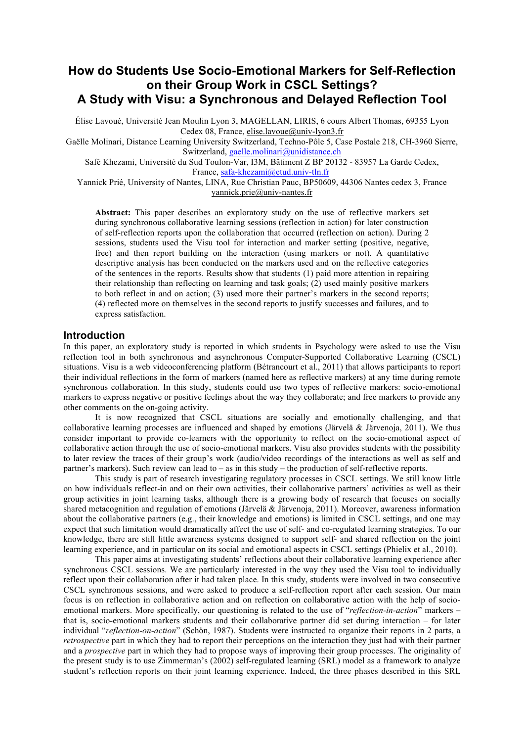# **How do Students Use Socio-Emotional Markers for Self-Reflection on their Group Work in CSCL Settings? A Study with Visu: a Synchronous and Delayed Reflection Tool**

Élise Lavoué, Université Jean Moulin Lyon 3, MAGELLAN, LIRIS, 6 cours Albert Thomas, 69355 Lyon Cedex 08, France, elise.lavoue@univ-lyon3.fr

Gaëlle Molinari, Distance Learning University Switzerland, Techno-Pôle 5, Case Postale 218, CH-3960 Sierre, Switzerland, gaelle.molinari@unidistance.ch

Safè Khezami, Université du Sud Toulon-Var, I3M, Bâtiment Z BP 20132 - 83957 La Garde Cedex, France, safa-khezami@etud.univ-tln.fr

Yannick Prié, University of Nantes, LINA, Rue Christian Pauc, BP50609, 44306 Nantes cedex 3, France yannick.prie@univ-nantes.fr

**Abstract:** This paper describes an exploratory study on the use of reflective markers set during synchronous collaborative learning sessions (reflection in action) for later construction of self-reflection reports upon the collaboration that occurred (reflection on action). During 2 sessions, students used the Visu tool for interaction and marker setting (positive, negative, free) and then report building on the interaction (using markers or not). A quantitative descriptive analysis has been conducted on the markers used and on the reflective categories of the sentences in the reports. Results show that students (1) paid more attention in repairing their relationship than reflecting on learning and task goals; (2) used mainly positive markers to both reflect in and on action; (3) used more their partner's markers in the second reports; (4) reflected more on themselves in the second reports to justify successes and failures, and to express satisfaction.

### **Introduction**

In this paper, an exploratory study is reported in which students in Psychology were asked to use the Visu reflection tool in both synchronous and asynchronous Computer-Supported Collaborative Learning (CSCL) situations. Visu is a web videoconferencing platform (Bétrancourt et al., 2011) that allows participants to report their individual reflections in the form of markers (named here as reflective markers) at any time during remote synchronous collaboration. In this study, students could use two types of reflective markers: socio-emotional markers to express negative or positive feelings about the way they collaborate; and free markers to provide any other comments on the on-going activity.

It is now recognized that CSCL situations are socially and emotionally challenging, and that collaborative learning processes are influenced and shaped by emotions (Järvelä & Järvenoja, 2011). We thus consider important to provide co-learners with the opportunity to reflect on the socio-emotional aspect of collaborative action through the use of socio-emotional markers. Visu also provides students with the possibility to later review the traces of their group's work (audio/video recordings of the interactions as well as self and partner's markers). Such review can lead to – as in this study – the production of self-reflective reports.

This study is part of research investigating regulatory processes in CSCL settings. We still know little on how individuals reflect-in and on their own activities, their collaborative partners' activities as well as their group activities in joint learning tasks, although there is a growing body of research that focuses on socially shared metacognition and regulation of emotions (Järvelä & Järvenoja, 2011). Moreover, awareness information about the collaborative partners (e.g., their knowledge and emotions) is limited in CSCL settings, and one may expect that such limitation would dramatically affect the use of self- and co-regulated learning strategies. To our knowledge, there are still little awareness systems designed to support self- and shared reflection on the joint learning experience, and in particular on its social and emotional aspects in CSCL settings (Phielix et al., 2010).

This paper aims at investigating students' reflections about their collaborative learning experience after synchronous CSCL sessions. We are particularly interested in the way they used the Visu tool to individually reflect upon their collaboration after it had taken place. In this study, students were involved in two consecutive CSCL synchronous sessions, and were asked to produce a self-reflection report after each session. Our main focus is on reflection in collaborative action and on reflection on collaborative action with the help of socioemotional markers. More specifically, our questioning is related to the use of "*reflection-in-action*" markers – that is, socio-emotional markers students and their collaborative partner did set during interaction – for later individual "*reflection-on-action*" (Schön, 1987). Students were instructed to organize their reports in 2 parts, a *retrospective* part in which they had to report their perceptions on the interaction they just had with their partner and a *prospective* part in which they had to propose ways of improving their group processes. The originality of the present study is to use Zimmerman's (2002) self-regulated learning (SRL) model as a framework to analyze student's reflection reports on their joint learning experience. Indeed, the three phases described in this SRL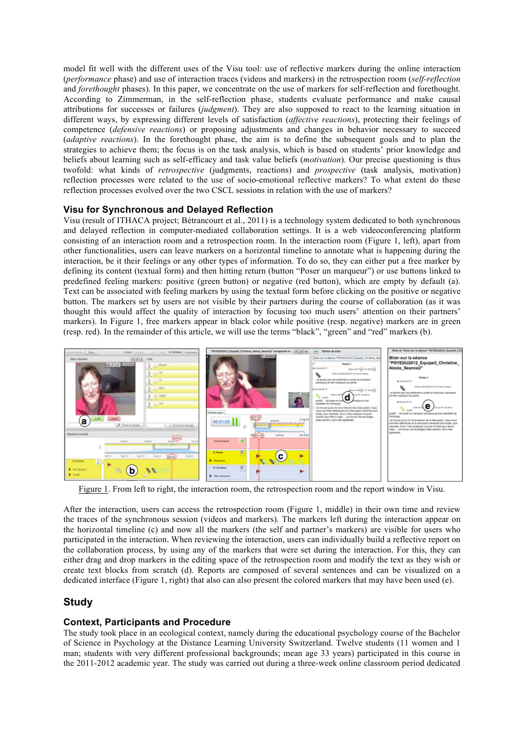model fit well with the different uses of the Visu tool: use of reflective markers during the online interaction (*performance* phase) and use of interaction traces (videos and markers) in the retrospection room (*self-reflection* and *forethought* phases). In this paper, we concentrate on the use of markers for self-reflection and forethought. According to Zimmerman, in the self-reflection phase, students evaluate performance and make causal attributions for successes or failures (*judgment*). They are also supposed to react to the learning situation in different ways, by expressing different levels of satisfaction (*affective reactions*), protecting their feelings of competence (*defensive reactions*) or proposing adjustments and changes in behavior necessary to succeed (*adaptive reactions*). In the forethought phase, the aim is to define the subsequent goals and to plan the strategies to achieve them; the focus is on the task analysis, which is based on students' prior knowledge and beliefs about learning such as self-efficacy and task value beliefs (*motivation*). Our precise questioning is thus twofold: what kinds of *retrospective* (judgments, reactions) and *prospective* (task analysis, motivation) reflection processes were related to the use of socio-emotional reflective markers? To what extent do these reflection processes evolved over the two CSCL sessions in relation with the use of markers?

## **Visu for Synchronous and Delayed Reflection**

Visu (result of ITHACA project; Bétrancourt et al., 2011) is a technology system dedicated to both synchronous and delayed reflection in computer-mediated collaboration settings. It is a web videoconferencing platform consisting of an interaction room and a retrospection room. In the interaction room (Figure 1, left), apart from other functionalities, users can leave markers on a horizontal timeline to annotate what is happening during the interaction, be it their feelings or any other types of information. To do so, they can either put a free marker by defining its content (textual form) and then hitting return (button "Poser un marqueur") or use buttons linked to predefined feeling markers: positive (green button) or negative (red button), which are empty by default (a). Text can be associated with feeling markers by using the textual form before clicking on the positive or negative button. The markers set by users are not visible by their partners during the course of collaboration (as it was thought this would affect the quality of interaction by focusing too much users' attention on their partners' markers). In Figure 1, free markers appear in black color while positive (resp. negative) markers are in green (resp. red). In the remainder of this article, we will use the terms "black", "green" and "red" markers (b).



Figure 1. From left to right, the interaction room, the retrospection room and the report window in Visu.

After the interaction, users can access the retrospection room (Figure 1, middle) in their own time and review the traces of the synchronous session (videos and markers). The markers left during the interaction appear on the horizontal timeline (c) and now all the markers (the self and partner's markers) are visible for users who participated in the interaction. When reviewing the interaction, users can individually build a reflective report on the collaboration process, by using any of the markers that were set during the interaction. For this, they can either drag and drop markers in the editing space of the retrospection room and modify the text as they wish or create text blocks from scratch (d). Reports are composed of several sentences and can be visualized on a dedicated interface (Figure 1, right) that also can also present the colored markers that may have been used (e).

# **Study**

### **Context, Participants and Procedure**

The study took place in an ecological context, namely during the educational psychology course of the Bachelor of Science in Psychology at the Distance Learning University Switzerland. Twelve students (11 women and 1 man; students with very different professional backgrounds; mean age 33 years) participated in this course in the 2011-2012 academic year. The study was carried out during a three-week online classroom period dedicated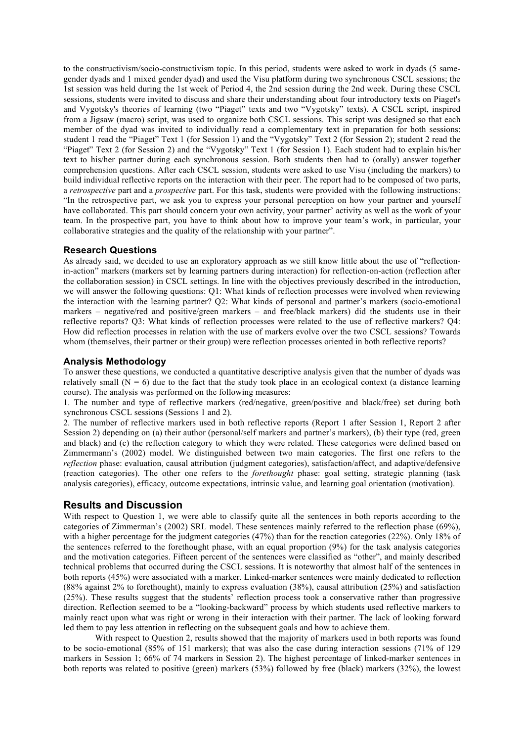to the constructivism/socio-constructivism topic. In this period, students were asked to work in dyads (5 samegender dyads and 1 mixed gender dyad) and used the Visu platform during two synchronous CSCL sessions; the 1st session was held during the 1st week of Period 4, the 2nd session during the 2nd week. During these CSCL sessions, students were invited to discuss and share their understanding about four introductory texts on Piaget's and Vygotsky's theories of learning (two "Piaget" texts and two "Vygotsky" texts). A CSCL script, inspired from a Jigsaw (macro) script, was used to organize both CSCL sessions. This script was designed so that each member of the dyad was invited to individually read a complementary text in preparation for both sessions: student 1 read the "Piaget" Text 1 (for Session 1) and the "Vygotsky" Text 2 (for Session 2); student 2 read the "Piaget" Text 2 (for Session 2) and the "Vygotsky" Text 1 (for Session 1). Each student had to explain his/her text to his/her partner during each synchronous session. Both students then had to (orally) answer together comprehension questions. After each CSCL session, students were asked to use Visu (including the markers) to build individual reflective reports on the interaction with their peer. The report had to be composed of two parts, a *retrospective* part and a *prospective* part. For this task, students were provided with the following instructions: "In the retrospective part, we ask you to express your personal perception on how your partner and yourself have collaborated. This part should concern your own activity, your partner' activity as well as the work of your team. In the prospective part, you have to think about how to improve your team's work, in particular, your collaborative strategies and the quality of the relationship with your partner".

#### **Research Questions**

As already said, we decided to use an exploratory approach as we still know little about the use of "reflectionin-action" markers (markers set by learning partners during interaction) for reflection-on-action (reflection after the collaboration session) in CSCL settings. In line with the objectives previously described in the introduction, we will answer the following questions: Q1: What kinds of reflection processes were involved when reviewing the interaction with the learning partner? Q2: What kinds of personal and partner's markers (socio-emotional markers – negative/red and positive/green markers – and free/black markers) did the students use in their reflective reports? Q3: What kinds of reflection processes were related to the use of reflective markers? Q4: How did reflection processes in relation with the use of markers evolve over the two CSCL sessions? Towards whom (themselves, their partner or their group) were reflection processes oriented in both reflective reports?

## **Analysis Methodology**

To answer these questions, we conducted a quantitative descriptive analysis given that the number of dyads was relatively small ( $N = 6$ ) due to the fact that the study took place in an ecological context (a distance learning course). The analysis was performed on the following measures:

1. The number and type of reflective markers (red/negative, green/positive and black/free) set during both synchronous CSCL sessions (Sessions 1 and 2).

2. The number of reflective markers used in both reflective reports (Report 1 after Session 1, Report 2 after Session 2) depending on (a) their author (personal/self markers and partner's markers), (b) their type (red, green and black) and (c) the reflection category to which they were related. These categories were defined based on Zimmermann's (2002) model. We distinguished between two main categories. The first one refers to the *reflection* phase: evaluation, causal attribution (judgment categories), satisfaction/affect, and adaptive/defensive (reaction categories). The other one refers to the *forethought* phase: goal setting, strategic planning (task analysis categories), efficacy, outcome expectations, intrinsic value, and learning goal orientation (motivation).

## **Results and Discussion**

With respect to Question 1, we were able to classify quite all the sentences in both reports according to the categories of Zimmerman's (2002) SRL model. These sentences mainly referred to the reflection phase (69%), with a higher percentage for the judgment categories (47%) than for the reaction categories (22%). Only 18% of the sentences referred to the forethought phase, with an equal proportion (9%) for the task analysis categories and the motivation categories. Fifteen percent of the sentences were classified as "other", and mainly described technical problems that occurred during the CSCL sessions. It is noteworthy that almost half of the sentences in both reports (45%) were associated with a marker. Linked-marker sentences were mainly dedicated to reflection (88% against 2% to forethought), mainly to express evaluation (38%), causal attribution (25%) and satisfaction (25%). These results suggest that the students' reflection process took a conservative rather than progressive direction. Reflection seemed to be a "looking-backward" process by which students used reflective markers to mainly react upon what was right or wrong in their interaction with their partner. The lack of looking forward led them to pay less attention in reflecting on the subsequent goals and how to achieve them.

With respect to Question 2, results showed that the majority of markers used in both reports was found to be socio-emotional (85% of 151 markers); that was also the case during interaction sessions (71% of 129 markers in Session 1; 66% of 74 markers in Session 2). The highest percentage of linked-marker sentences in both reports was related to positive (green) markers (53%) followed by free (black) markers (32%), the lowest